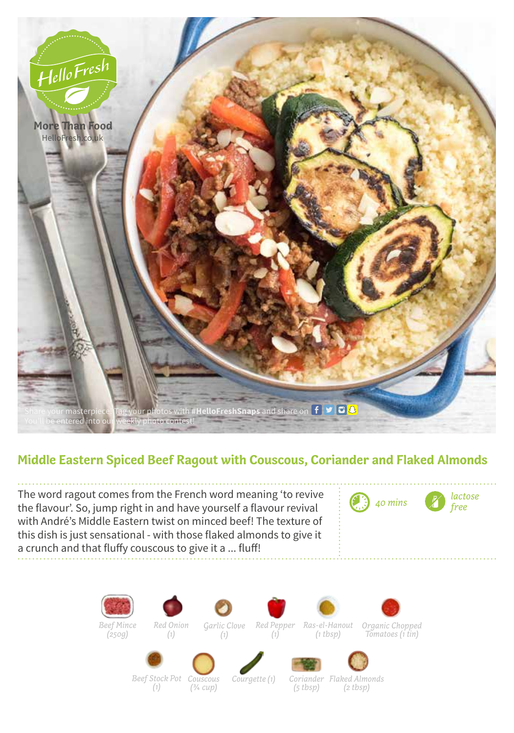

## **Middle Eastern Spiced Beef Ragout with Couscous, Coriander and Flaked Almonds**

The word ragout comes from the French word meaning 'to revive<br>the flavour' So, jumn right in and have vourself a flavour revively the flavour'. So, jump right in and have yourself a flavour revival with André's Middle Eastern twist on minced beef! The texture of this dish is just sensational - with those flaked almonds to give it a crunch and that fluffy couscous to give it a ... fluff!



*Beef Mince*



*(1)*



*Tomatoes (1 tin)*



*(1)*









*Beef Stock Pot Couscous (¾ cup)*

*Courgette (1) Coriander* 

*(5 tbsp) Flaked Almonds (2 tbsp)*